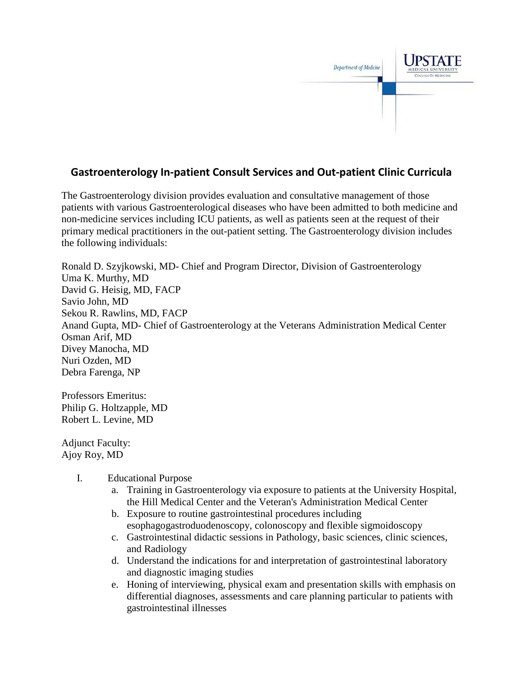

## **Gastroenterology In-patient Consult Services and Out-patient Clinic Curricula**

The Gastroenterology division provides evaluation and consultative management of those patients with various Gastroenterological diseases who have been admitted to both medicine and non-medicine services including ICU patients, as well as patients seen at the request of their primary medical practitioners in the out-patient setting. The Gastroenterology division includes the following individuals:

Ronald D. Szyjkowski, MD- Chief and Program Director, Division of Gastroenterology Uma K. Murthy, MD David G. Heisig, MD, FACP Savio John, MD Sekou R. Rawlins, MD, FACP Anand Gupta, MD- Chief of Gastroenterology at the Veterans Administration Medical Center Osman Arif, MD Divey Manocha, MD Nuri Ozden, MD Debra Farenga, NP

Professors Emeritus: Philip G. Holtzapple, MD Robert L. Levine, MD

Adjunct Faculty: Ajoy Roy, MD

- I. Educational Purpose
	- a. Training in Gastroenterology via exposure to patients at the University Hospital, the Hill Medical Center and the Veteran's Administration Medical Center
	- b. Exposure to routine gastrointestinal procedures including esophagogastroduodenoscopy, colonoscopy and flexible sigmoidoscopy
	- c. Gastrointestinal didactic sessions in Pathology, basic sciences, clinic sciences, and Radiology
	- d. Understand the indications for and interpretation of gastrointestinal laboratory and diagnostic imaging studies
	- e. Honing of interviewing, physical exam and presentation skills with emphasis on differential diagnoses, assessments and care planning particular to patients with gastrointestinal illnesses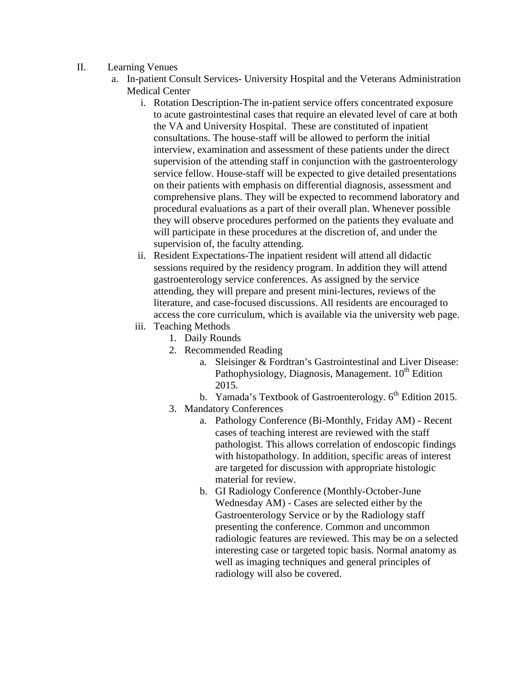- II. Learning Venues
	- a. In-patient Consult Services- University Hospital and the Veterans Administration Medical Center
		- i. Rotation Description-The in-patient service offers concentrated exposure to acute gastrointestinal cases that require an elevated level of care at both the VA and University Hospital. These are constituted of inpatient consultations. The house-staff will be allowed to perform the initial interview, examination and assessment of these patients under the direct supervision of the attending staff in conjunction with the gastroenterology service fellow. House-staff will be expected to give detailed presentations on their patients with emphasis on differential diagnosis, assessment and comprehensive plans. They will be expected to recommend laboratory and procedural evaluations as a part of their overall plan. Whenever possible they will observe procedures performed on the patients they evaluate and will participate in these procedures at the discretion of, and under the supervision of, the faculty attending.
		- ii. Resident Expectations-The inpatient resident will attend all didactic sessions required by the residency program. In addition they will attend gastroenterology service conferences. As assigned by the service attending, they will prepare and present mini-lectures, reviews of the literature, and case-focused discussions. All residents are encouraged to access the core curriculum, which is available via the university web page.
		- iii. Teaching Methods
			- 1. Daily Rounds
			- 2. Recommended Reading
				- a. Sleisinger & Fordtran's Gastrointestinal and Liver Disease: Pathophysiology, Diagnosis, Management.  $10<sup>th</sup>$  Edition 2015.
				- b. Yamada's Textbook of Gastroenterology.  $6<sup>th</sup>$  Edition 2015.
			- 3. Mandatory Conferences
				- a. Pathology Conference (Bi-Monthly, Friday AM) Recent cases of teaching interest are reviewed with the staff pathologist. This allows correlation of endoscopic findings with histopathology. In addition, specific areas of interest are targeted for discussion with appropriate histologic material for review.
				- b. GI Radiology Conference (Monthly-October-June Wednesday AM) - Cases are selected either by the Gastroenterology Service or by the Radiology staff presenting the conference. Common and uncommon radiologic features are reviewed. This may be on a selected interesting case or targeted topic basis. Normal anatomy as well as imaging techniques and general principles of radiology will also be covered.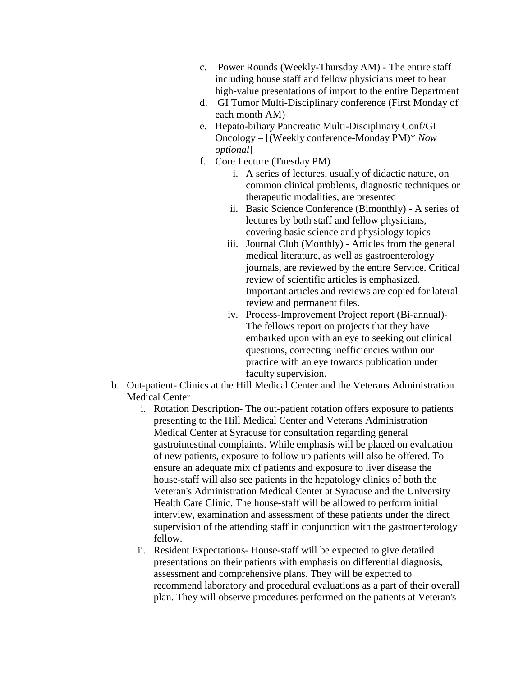- c. Power Rounds (Weekly-Thursday AM) The entire staff including house staff and fellow physicians meet to hear high-value presentations of import to the entire Department
- d. GI Tumor Multi-Disciplinary conference (First Monday of each month AM)
- e. Hepato-biliary Pancreatic Multi-Disciplinary Conf/GI Oncology – [(Weekly conference-Monday PM)\* *Now optional*]
- f. Core Lecture (Tuesday PM)
	- i. A series of lectures, usually of didactic nature, on common clinical problems, diagnostic techniques or therapeutic modalities, are presented
	- ii. Basic Science Conference (Bimonthly) A series of lectures by both staff and fellow physicians, covering basic science and physiology topics
	- iii. Journal Club (Monthly) Articles from the general medical literature, as well as gastroenterology journals, are reviewed by the entire Service. Critical review of scientific articles is emphasized. Important articles and reviews are copied for lateral review and permanent files.
	- iv. Process-Improvement Project report (Bi-annual)- The fellows report on projects that they have embarked upon with an eye to seeking out clinical questions, correcting inefficiencies within our practice with an eye towards publication under faculty supervision.
- b. Out-patient- Clinics at the Hill Medical Center and the Veterans Administration Medical Center
	- i. Rotation Description- The out-patient rotation offers exposure to patients presenting to the Hill Medical Center and Veterans Administration Medical Center at Syracuse for consultation regarding general gastrointestinal complaints. While emphasis will be placed on evaluation of new patients, exposure to follow up patients will also be offered. To ensure an adequate mix of patients and exposure to liver disease the house-staff will also see patients in the hepatology clinics of both the Veteran's Administration Medical Center at Syracuse and the University Health Care Clinic. The house-staff will be allowed to perform initial interview, examination and assessment of these patients under the direct supervision of the attending staff in conjunction with the gastroenterology fellow.
	- ii. Resident Expectations- House-staff will be expected to give detailed presentations on their patients with emphasis on differential diagnosis, assessment and comprehensive plans. They will be expected to recommend laboratory and procedural evaluations as a part of their overall plan. They will observe procedures performed on the patients at Veteran's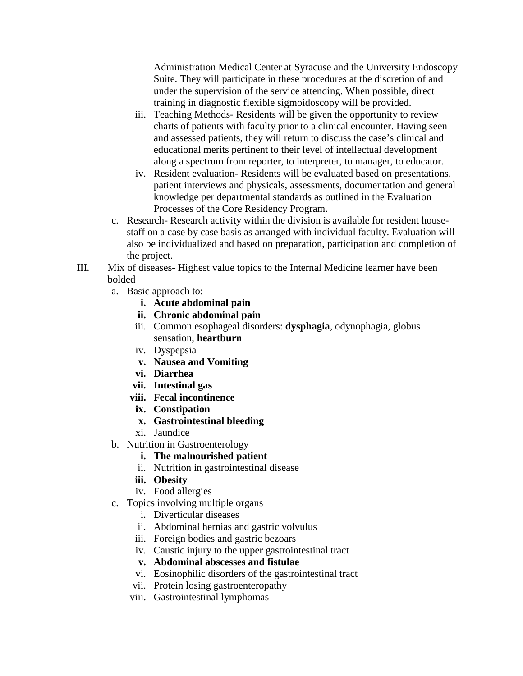Administration Medical Center at Syracuse and the University Endoscopy Suite. They will participate in these procedures at the discretion of and under the supervision of the service attending. When possible, direct training in diagnostic flexible sigmoidoscopy will be provided.

- iii. Teaching Methods- Residents will be given the opportunity to review charts of patients with faculty prior to a clinical encounter. Having seen and assessed patients, they will return to discuss the case's clinical and educational merits pertinent to their level of intellectual development along a spectrum from reporter, to interpreter, to manager, to educator.
- iv. Resident evaluation- Residents will be evaluated based on presentations, patient interviews and physicals, assessments, documentation and general knowledge per departmental standards as outlined in the Evaluation Processes of the Core Residency Program.
- c. Research- Research activity within the division is available for resident housestaff on a case by case basis as arranged with individual faculty. Evaluation will also be individualized and based on preparation, participation and completion of the project.
- III. Mix of diseases- Highest value topics to the Internal Medicine learner have been bolded
	- a. Basic approach to:
		- **i. Acute abdominal pain**
		- **ii. Chronic abdominal pain**
		- iii. Common esophageal disorders: **dysphagia**, odynophagia, globus sensation, **heartburn**
		- iv. Dyspepsia
		- **v. Nausea and Vomiting**
		- **vi. Diarrhea**
		- **vii. Intestinal gas**
		- **viii. Fecal incontinence**
		- **ix. Constipation**
		- **x. Gastrointestinal bleeding**
		- xi. Jaundice
	- b. Nutrition in Gastroenterology
		- **i. The malnourished patient**
		- ii. Nutrition in gastrointestinal disease
		- **iii. Obesity**
		- iv. Food allergies
	- c. Topics involving multiple organs
		- i. Diverticular diseases
		- ii. Abdominal hernias and gastric volvulus
		- iii. Foreign bodies and gastric bezoars
		- iv. Caustic injury to the upper gastrointestinal tract
		- **v. Abdominal abscesses and fistulae**
		- vi. Eosinophilic disorders of the gastrointestinal tract
		- vii. Protein losing gastroenteropathy
		- viii. Gastrointestinal lymphomas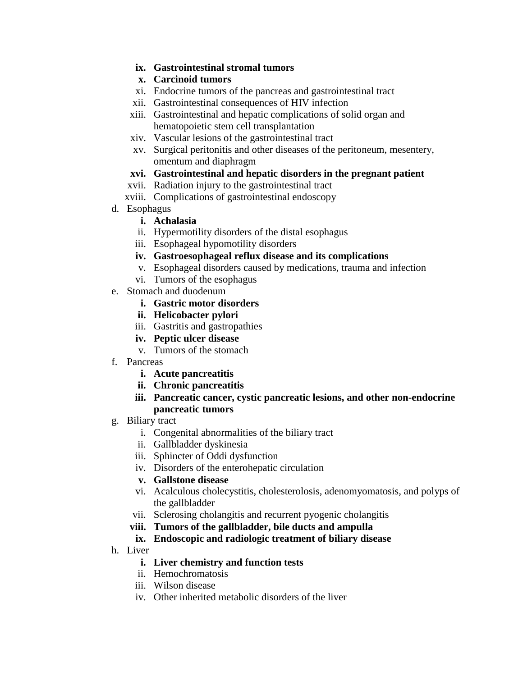- **ix. Gastrointestinal stromal tumors**
- **x. Carcinoid tumors**
- xi. Endocrine tumors of the pancreas and gastrointestinal tract
- xii. Gastrointestinal consequences of HIV infection
- xiii. Gastrointestinal and hepatic complications of solid organ and hematopoietic stem cell transplantation
- xiv. Vascular lesions of the gastrointestinal tract
- xv. Surgical peritonitis and other diseases of the peritoneum, mesentery, omentum and diaphragm

## **xvi. Gastrointestinal and hepatic disorders in the pregnant patient**

- xvii. Radiation injury to the gastrointestinal tract
- xviii. Complications of gastrointestinal endoscopy
- d. Esophagus
	- **i. Achalasia**
	- ii. Hypermotility disorders of the distal esophagus
	- iii. Esophageal hypomotility disorders
	- **iv. Gastroesophageal reflux disease and its complications**
	- v. Esophageal disorders caused by medications, trauma and infection
	- vi. Tumors of the esophagus
- e. Stomach and duodenum
	- **i. Gastric motor disorders**
	- **ii. Helicobacter pylori**
	- iii. Gastritis and gastropathies
	- **iv. Peptic ulcer disease**
	- v. Tumors of the stomach
- f. Pancreas
	- **i. Acute pancreatitis**
	- **ii. Chronic pancreatitis**
	- **iii. Pancreatic cancer, cystic pancreatic lesions, and other non-endocrine pancreatic tumors**
- g. Biliary tract
	- i. Congenital abnormalities of the biliary tract
	- ii. Gallbladder dyskinesia
	- iii. Sphincter of Oddi dysfunction
	- iv. Disorders of the enterohepatic circulation
	- **v. Gallstone disease**
	- vi. Acalculous cholecystitis, cholesterolosis, adenomyomatosis, and polyps of the gallbladder
	- vii. Sclerosing cholangitis and recurrent pyogenic cholangitis
	- **viii. Tumors of the gallbladder, bile ducts and ampulla**

## **ix. Endoscopic and radiologic treatment of biliary disease**

- h. Liver
	- **i. Liver chemistry and function tests**
	- ii. Hemochromatosis
	- iii. Wilson disease
	- iv. Other inherited metabolic disorders of the liver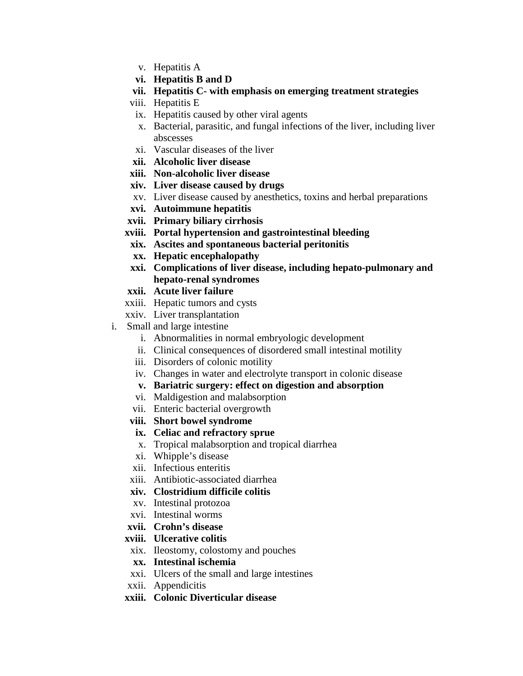- v. Hepatitis A
- **vi. Hepatitis B and D**
- **vii. Hepatitis C- with emphasis on emerging treatment strategies**
- viii. Hepatitis E
- ix. Hepatitis caused by other viral agents
- x. Bacterial, parasitic, and fungal infections of the liver, including liver abscesses
- xi. Vascular diseases of the liver
- **xii. Alcoholic liver disease**
- **xiii. Non-alcoholic liver disease**
- **xiv. Liver disease caused by drugs**
- xv. Liver disease caused by anesthetics, toxins and herbal preparations
- **xvi. Autoimmune hepatitis**
- **xvii. Primary biliary cirrhosis**
- **xviii. Portal hypertension and gastrointestinal bleeding**
- **xix. Ascites and spontaneous bacterial peritonitis**
- **xx. Hepatic encephalopathy**
- **xxi. Complications of liver disease, including hepato-pulmonary and hepato-renal syndromes**
- **xxii. Acute liver failure**
- xxiii. Hepatic tumors and cysts
- xxiv. Liver transplantation
- i. Small and large intestine
	- i. Abnormalities in normal embryologic development
	- ii. Clinical consequences of disordered small intestinal motility
	- iii. Disorders of colonic motility
	- iv. Changes in water and electrolyte transport in colonic disease
	- **v. Bariatric surgery: effect on digestion and absorption**
	- vi. Maldigestion and malabsorption
	- vii. Enteric bacterial overgrowth
	- **viii. Short bowel syndrome**
	- **ix. Celiac and refractory sprue**
	- x. Tropical malabsorption and tropical diarrhea
	- xi. Whipple's disease
	- xii. Infectious enteritis
	- xiii. Antibiotic-associated diarrhea
	- **xiv. Clostridium difficile colitis**
	- xv. Intestinal protozoa
	- xvi. Intestinal worms
	- **xvii. Crohn's disease**

## **xviii. Ulcerative colitis**

- xix. Ileostomy, colostomy and pouches
- **xx. Intestinal ischemia**
- xxi. Ulcers of the small and large intestines
- xxii. Appendicitis
- **xxiii. Colonic Diverticular disease**